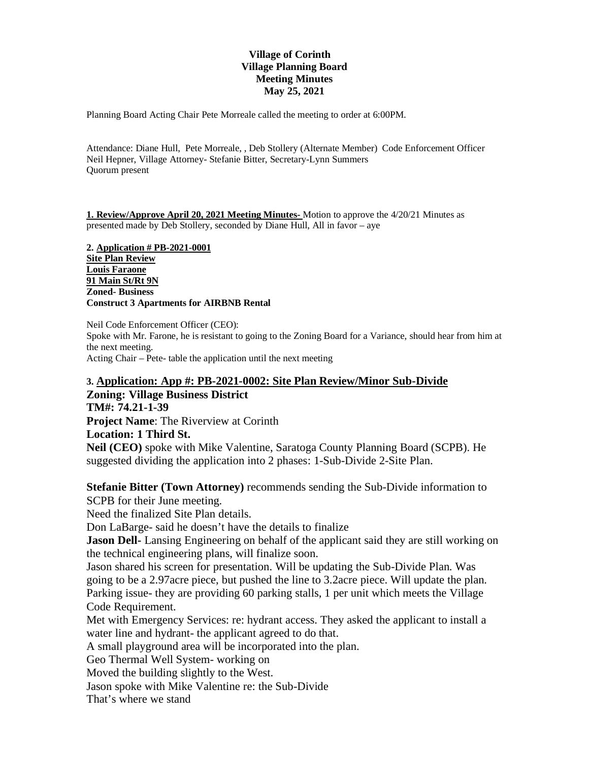### **Village of Corinth Village Planning Board Meeting Minutes May 25, 2021**

Planning Board Acting Chair Pete Morreale called the meeting to order at 6:00PM.

Attendance: Diane Hull, Pete Morreale, , Deb Stollery (Alternate Member) Code Enforcement Officer Neil Hepner, Village Attorney- Stefanie Bitter, Secretary-Lynn Summers Quorum present

**1. Review/Approve April 20, 2021 Meeting Minutes-** Motion to approve the 4/20/21 Minutes as presented made by Deb Stollery, seconded by Diane Hull, All in favor – aye

**2. Application # PB-2021-0001 Site Plan Review Louis Faraone 91 Main St/Rt 9N Zoned- Business Construct 3 Apartments for AIRBNB Rental** 

Neil Code Enforcement Officer (CEO): Spoke with Mr. Farone, he is resistant to going to the Zoning Board for a Variance, should hear from him at the next meeting. Acting Chair – Pete- table the application until the next meeting

### **3. Application: App #: PB-2021-0002: Site Plan Review/Minor Sub-Divide**

# **Zoning: Village Business District**

**TM#: 74.21-1-39 Project Name**: The Riverview at Corinth

## **Location: 1 Third St.**

**Neil (CEO)** spoke with Mike Valentine, Saratoga County Planning Board (SCPB). He suggested dividing the application into 2 phases: 1-Sub-Divide 2-Site Plan.

**Stefanie Bitter (Town Attorney)** recommends sending the Sub-Divide information to

SCPB for their June meeting.

Need the finalized Site Plan details.

Don LaBarge- said he doesn't have the details to finalize

**Jason Dell-** Lansing Engineering on behalf of the applicant said they are still working on the technical engineering plans, will finalize soon.

Jason shared his screen for presentation. Will be updating the Sub-Divide Plan. Was going to be a 2.97acre piece, but pushed the line to 3.2acre piece. Will update the plan. Parking issue- they are providing 60 parking stalls, 1 per unit which meets the Village Code Requirement.

Met with Emergency Services: re: hydrant access. They asked the applicant to install a water line and hydrant- the applicant agreed to do that.

A small playground area will be incorporated into the plan.

Geo Thermal Well System- working on

Moved the building slightly to the West.

Jason spoke with Mike Valentine re: the Sub-Divide

That's where we stand